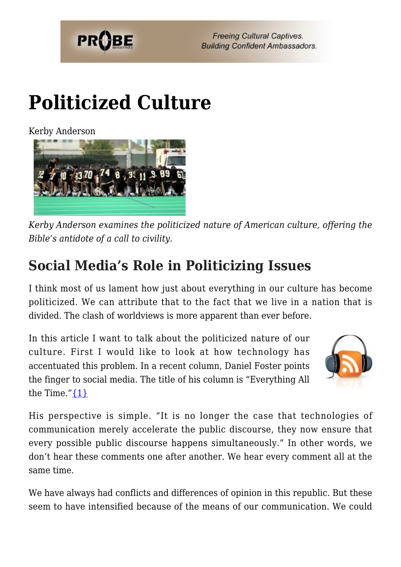

# **[Politicized Culture](https://probe.org/politicized-culture/)**

Kerby Anderson



*Kerby Anderson examines the politicized nature of American culture, offering the Bible's antidote of a call to civility.*

# **Social Media's Role in Politicizing Issues**

I think most of us lament how just about everything in our culture has become politicized. We can attribute that to the fact that we live in a nation that is divided. The clash of worldviews is more apparent than ever before.

In this article I want to talk about the politicized nature of our culture. First I would like to look at how technology has accentuated this problem. In a recent column, Daniel Foster points the finger to social media. The title of his column is "Everything All the Time." $\{1\}$ 



His perspective is simple. "It is no longer the case that technologies of communication merely accelerate the public discourse, they now ensure that every possible public discourse happens simultaneously." In other words, we don't hear these comments one after another. We hear every comment all at the same time.

We have always had conflicts and differences of opinion in this republic. But these seem to have intensified because of the means of our communication. We could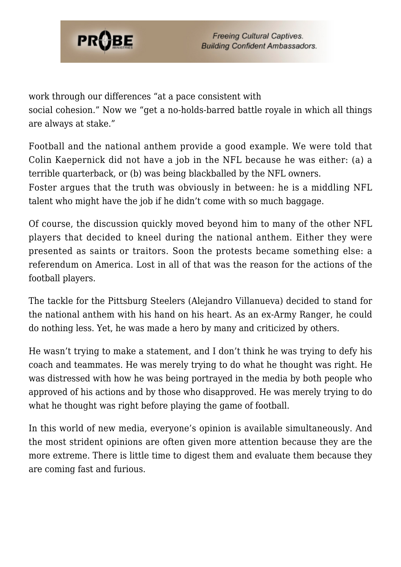

work through our differences "at a pace consistent with social cohesion." Now we "get a no-holds-barred battle royale in which all things are always at stake."

Football and the national anthem provide a good example. We were told that Colin Kaepernick did not have a job in the NFL because he was either: (a) a terrible quarterback, or (b) was being blackballed by the NFL owners.

Foster argues that the truth was obviously in between: he is a middling NFL talent who might have the job if he didn't come with so much baggage.

Of course, the discussion quickly moved beyond him to many of the other NFL players that decided to kneel during the national anthem. Either they were presented as saints or traitors. Soon the protests became something else: a referendum on America. Lost in all of that was the reason for the actions of the football players.

The tackle for the Pittsburg Steelers (Alejandro Villanueva) decided to stand for the national anthem with his hand on his heart. As an ex-Army Ranger, he could do nothing less. Yet, he was made a hero by many and criticized by others.

He wasn't trying to make a statement, and I don't think he was trying to defy his coach and teammates. He was merely trying to do what he thought was right. He was distressed with how he was being portrayed in the media by both people who approved of his actions and by those who disapproved. He was merely trying to do what he thought was right before playing the game of football.

In this world of new media, everyone's opinion is available simultaneously. And the most strident opinions are often given more attention because they are the more extreme. There is little time to digest them and evaluate them because they are coming fast and furious.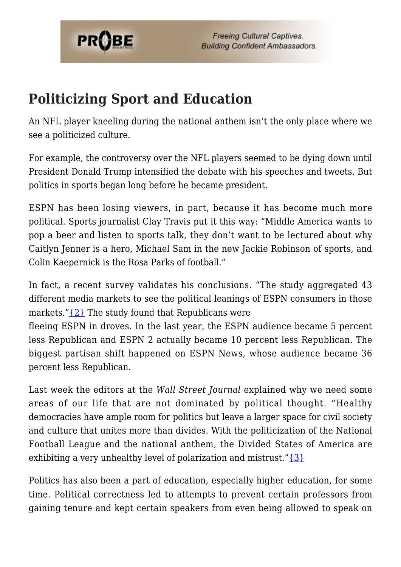

#### **Politicizing Sport and Education**

An NFL player kneeling during the national anthem isn't the only place where we see a politicized culture.

For example, the controversy over the NFL players seemed to be dying down until President Donald Trump intensified the debate with his speeches and tweets. But politics in sports began long before he became president.

ESPN has been losing viewers, in part, because it has become much more political. Sports journalist Clay Travis put it this way: "Middle America wants to pop a beer and listen to sports talk, they don't want to be lectured about why Caitlyn Jenner is a hero, Michael Sam in the new Jackie Robinson of sports, and Colin Kaepernick is the Rosa Parks of football."

In fact, a recent survey validates his conclusions. "The study aggregated 43 different media markets to see the political leanings of ESPN consumers in those markets." $\{2\}$  The study found that Republicans were

fleeing ESPN in droves. In the last year, the ESPN audience became 5 percent less Republican and ESPN 2 actually became 10 percent less Republican. The biggest partisan shift happened on ESPN News, whose audience became 36 percent less Republican.

Last week the editors at the *Wall Street Journal* explained why we need some areas of our life that are not dominated by political thought. "Healthy democracies have ample room for politics but leave a larger space for civil society and culture that unites more than divides. With the politicization of the National Football League and the national anthem, the Divided States of America are exhibiting a very unhealthy level of polarization and mistrust." $\{3\}$ 

Politics has also been a part of education, especially higher education, for some time. Political correctness led to attempts to prevent certain professors from gaining tenure and kept certain speakers from even being allowed to speak on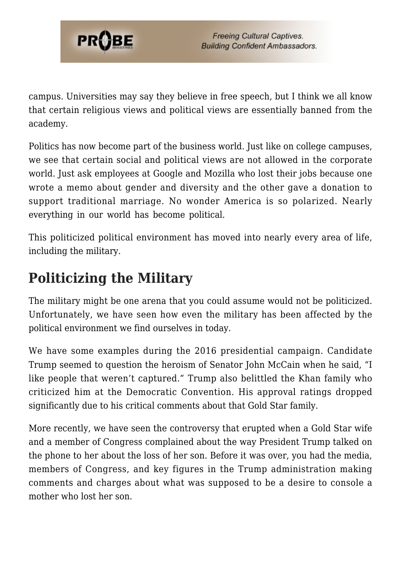

campus. Universities may say they believe in free speech, but I think we all know that certain religious views and political views are essentially banned from the academy.

Politics has now become part of the business world. Just like on college campuses, we see that certain social and political views are not allowed in the corporate world. Just ask employees at Google and Mozilla who lost their jobs because one wrote a memo about gender and diversity and the other gave a donation to support traditional marriage. No wonder America is so polarized. Nearly everything in our world has become political.

This politicized political environment has moved into nearly every area of life, including the military.

### **Politicizing the Military**

The military might be one arena that you could assume would not be politicized. Unfortunately, we have seen how even the military has been affected by the political environment we find ourselves in today.

We have some examples during the 2016 presidential campaign. Candidate Trump seemed to question the heroism of Senator John McCain when he said, "I like people that weren't captured." Trump also belittled the Khan family who criticized him at the Democratic Convention. His approval ratings dropped significantly due to his critical comments about that Gold Star family.

More recently, we have seen the controversy that erupted when a Gold Star wife and a member of Congress complained about the way President Trump talked on the phone to her about the loss of her son. Before it was over, you had the media, members of Congress, and key figures in the Trump administration making comments and charges about what was supposed to be a desire to console a mother who lost her son.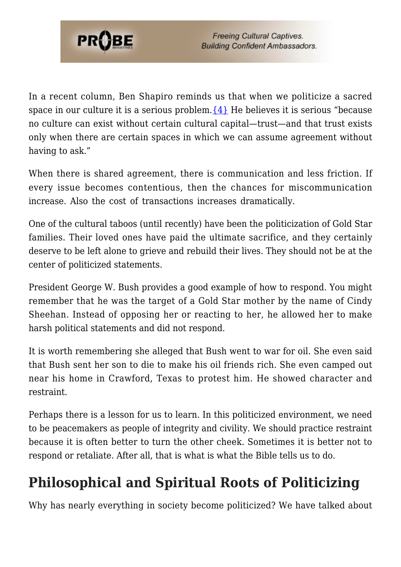

In a recent column, Ben Shapiro reminds us that when we politicize a sacred space in our culture it is a serious problem.  $\{4\}$  He believes it is serious "because no culture can exist without certain cultural capital—trust—and that trust exists only when there are certain spaces in which we can assume agreement without having to ask."

When there is shared agreement, there is communication and less friction. If every issue becomes contentious, then the chances for miscommunication increase. Also the cost of transactions increases dramatically.

One of the cultural taboos (until recently) have been the politicization of Gold Star families. Their loved ones have paid the ultimate sacrifice, and they certainly deserve to be left alone to grieve and rebuild their lives. They should not be at the center of politicized statements.

President George W. Bush provides a good example of how to respond. You might remember that he was the target of a Gold Star mother by the name of Cindy Sheehan. Instead of opposing her or reacting to her, he allowed her to make harsh political statements and did not respond.

It is worth remembering she alleged that Bush went to war for oil. She even said that Bush sent her son to die to make his oil friends rich. She even camped out near his home in Crawford, Texas to protest him. He showed character and restraint.

Perhaps there is a lesson for us to learn. In this politicized environment, we need to be peacemakers as people of integrity and civility. We should practice restraint because it is often better to turn the other cheek. Sometimes it is better not to respond or retaliate. After all, that is what is what the Bible tells us to do.

# **Philosophical and Spiritual Roots of Politicizing**

Why has nearly everything in society become politicized? We have talked about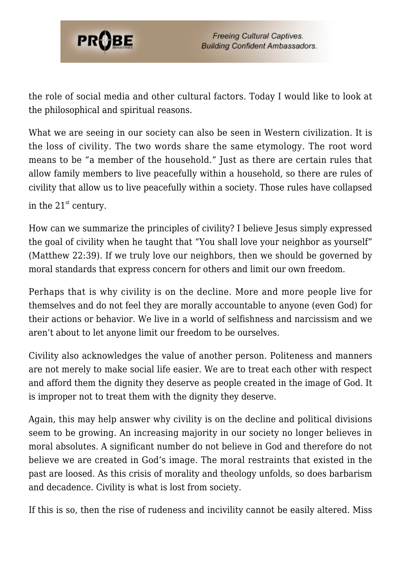

the role of social media and other cultural factors. Today I would like to look at the philosophical and spiritual reasons.

What we are seeing in our society can also be seen in Western civilization. It is the loss of civility. The two words share the same etymology. The root word means to be "a member of the household." Just as there are certain rules that allow family members to live peacefully within a household, so there are rules of civility that allow us to live peacefully within a society. Those rules have collapsed in the  $21<sup>st</sup>$  century.

How can we summarize the principles of civility? I believe Jesus simply expressed the goal of civility when he taught that "You shall love your neighbor as yourself" (Matthew 22:39). If we truly love our neighbors, then we should be governed by moral standards that express concern for others and limit our own freedom.

Perhaps that is why civility is on the decline. More and more people live for themselves and do not feel they are morally accountable to anyone (even God) for their actions or behavior. We live in a world of selfishness and narcissism and we aren't about to let anyone limit our freedom to be ourselves.

Civility also acknowledges the value of another person. Politeness and manners are not merely to make social life easier. We are to treat each other with respect and afford them the dignity they deserve as people created in the image of God. It is improper not to treat them with the dignity they deserve.

Again, this may help answer why civility is on the decline and political divisions seem to be growing. An increasing majority in our society no longer believes in moral absolutes. A significant number do not believe in God and therefore do not believe we are created in God's image. The moral restraints that existed in the past are loosed. As this crisis of morality and theology unfolds, so does barbarism and decadence. Civility is what is lost from society.

If this is so, then the rise of rudeness and incivility cannot be easily altered. Miss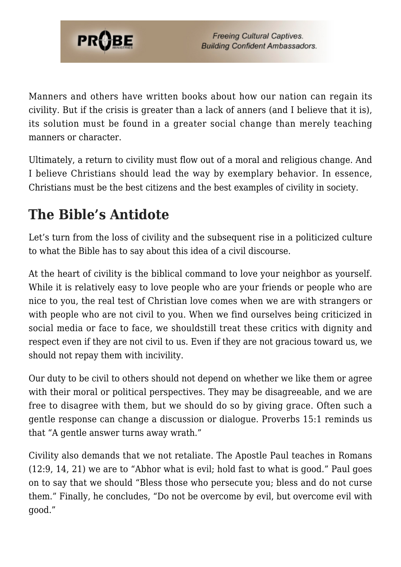

Manners and others have written books about how our nation can regain its civility. But if the crisis is greater than a lack of anners (and I believe that it is), its solution must be found in a greater social change than merely teaching manners or character.

Ultimately, a return to civility must flow out of a moral and religious change. And I believe Christians should lead the way by exemplary behavior. In essence, Christians must be the best citizens and the best examples of civility in society.

#### **The Bible's Antidote**

Let's turn from the loss of civility and the subsequent rise in a politicized culture to what the Bible has to say about this idea of a civil discourse.

At the heart of civility is the biblical command to love your neighbor as yourself. While it is relatively easy to love people who are your friends or people who are nice to you, the real test of Christian love comes when we are with strangers or with people who are not civil to you. When we find ourselves being criticized in social media or face to face, we shouldstill treat these critics with dignity and respect even if they are not civil to us. Even if they are not gracious toward us, we should not repay them with incivility.

Our duty to be civil to others should not depend on whether we like them or agree with their moral or political perspectives. They may be disagreeable, and we are free to disagree with them, but we should do so by giving grace. Often such a gentle response can change a discussion or dialogue. Proverbs 15:1 reminds us that "A gentle answer turns away wrath."

Civility also demands that we not retaliate. The Apostle Paul teaches in Romans (12:9, 14, 21) we are to "Abhor what is evil; hold fast to what is good." Paul goes on to say that we should "Bless those who persecute you; bless and do not curse them." Finally, he concludes, "Do not be overcome by evil, but overcome evil with good."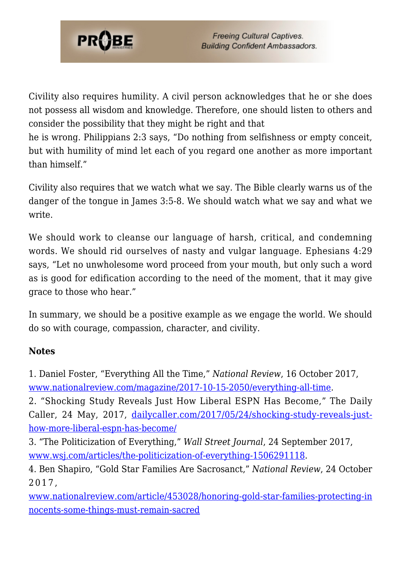

Civility also requires humility. A civil person acknowledges that he or she does not possess all wisdom and knowledge. Therefore, one should listen to others and consider the possibility that they might be right and that

he is wrong. Philippians 2:3 says, "Do nothing from selfishness or empty conceit, but with humility of mind let each of you regard one another as more important than himself."

Civility also requires that we watch what we say. The Bible clearly warns us of the danger of the tongue in James 3:5-8. We should watch what we say and what we write.

We should work to cleanse our language of harsh, critical, and condemning words. We should rid ourselves of nasty and vulgar language. Ephesians 4:29 says, "Let no unwholesome word proceed from your mouth, but only such a word as is good for edification according to the need of the moment, that it may give grace to those who hear."

In summary, we should be a positive example as we engage the world. We should do so with courage, compassion, character, and civility.

#### **Notes**

<span id="page-7-0"></span>1. Daniel Foster, "Everything All the Time," *National Review*, 16 October 2017, [www.nationalreview.com/magazine/2017-10-15-2050/everything-all-time.](https://www.nationalreview.com/magazine/2017-10-15-2050/everything-all-time)

<span id="page-7-1"></span>2. "Shocking Study Reveals Just How Liberal ESPN Has Become," The Daily Caller, 24 May, 2017, [dailycaller.com/2017/05/24/shocking-study-reveals-just](http://dailycaller.com/2017/05/24/shocking-study-reveals-just-how-more-liberal-espn-has-become/)[how-more-liberal-espn-has-become/](http://dailycaller.com/2017/05/24/shocking-study-reveals-just-how-more-liberal-espn-has-become/)

<span id="page-7-2"></span>3. "The Politicization of Everything," *Wall Street Journal*, 24 September 2017, [www.wsj.com/articles/the-politicization-of-everything-1506291118.](https://www.wsj.com/articles/the-politicization-of-everything-1506291118)

<span id="page-7-3"></span>4. Ben Shapiro, "Gold Star Families Are Sacrosanct," *National Review*, 24 October 2017,

[www.nationalreview.com/article/453028/honoring-gold-star-families-protecting-in](http://www.nationalreview.com/article/453028/honoring-gold-star-families-protecting-innocents-some-things-must-remain-sacred) [nocents-some-things-must-remain-sacred](http://www.nationalreview.com/article/453028/honoring-gold-star-families-protecting-innocents-some-things-must-remain-sacred)